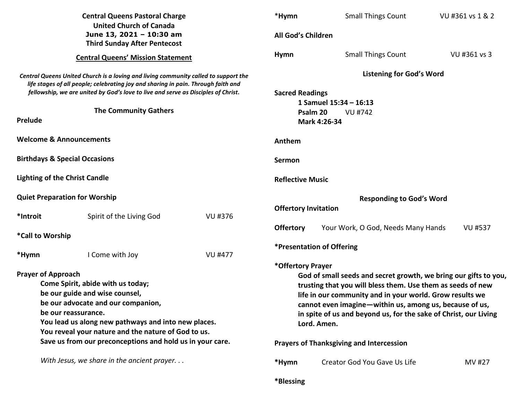| <b>Central Queens Pastoral Charge</b><br><b>United Church of Canada</b>                                                                                                                                                                                                                                                                                                                |                                          | *Hymn          | <b>Small Things Count</b>                                                                                                                                                                                                                                                                                                                                                                                                                                            | VU #361 vs 1 & 2                   |                |
|----------------------------------------------------------------------------------------------------------------------------------------------------------------------------------------------------------------------------------------------------------------------------------------------------------------------------------------------------------------------------------------|------------------------------------------|----------------|----------------------------------------------------------------------------------------------------------------------------------------------------------------------------------------------------------------------------------------------------------------------------------------------------------------------------------------------------------------------------------------------------------------------------------------------------------------------|------------------------------------|----------------|
| June 13, 2021 - 10:30 am<br><b>Third Sunday After Pentecost</b>                                                                                                                                                                                                                                                                                                                        |                                          |                | All God's Children                                                                                                                                                                                                                                                                                                                                                                                                                                                   |                                    |                |
| <b>Central Queens' Mission Statement</b>                                                                                                                                                                                                                                                                                                                                               |                                          |                | <b>Hymn</b>                                                                                                                                                                                                                                                                                                                                                                                                                                                          | <b>Small Things Count</b>          | VU #361 vs 3   |
| Central Queens United Church is a loving and living community called to support the<br>life stages of all people; celebrating joy and sharing in pain. Through faith and<br>fellowship, we are united by God's love to live and serve as Disciples of Christ.<br><b>The Community Gathers</b><br>Prelude                                                                               |                                          |                | <b>Listening for God's Word</b><br><b>Sacred Readings</b><br>1 Samuel 15:34 - 16:13<br>Psalm 20<br>VU #742<br>Mark 4:26-34                                                                                                                                                                                                                                                                                                                                           |                                    |                |
|                                                                                                                                                                                                                                                                                                                                                                                        | <b>Welcome &amp; Announcements</b>       |                |                                                                                                                                                                                                                                                                                                                                                                                                                                                                      |                                    |                |
|                                                                                                                                                                                                                                                                                                                                                                                        |                                          |                | Anthem                                                                                                                                                                                                                                                                                                                                                                                                                                                               |                                    |                |
|                                                                                                                                                                                                                                                                                                                                                                                        | <b>Birthdays &amp; Special Occasions</b> |                | Sermon                                                                                                                                                                                                                                                                                                                                                                                                                                                               |                                    |                |
| <b>Lighting of the Christ Candle</b>                                                                                                                                                                                                                                                                                                                                                   |                                          |                | <b>Reflective Music</b>                                                                                                                                                                                                                                                                                                                                                                                                                                              |                                    |                |
| <b>Quiet Preparation for Worship</b>                                                                                                                                                                                                                                                                                                                                                   |                                          |                | <b>Responding to God's Word</b>                                                                                                                                                                                                                                                                                                                                                                                                                                      |                                    |                |
| *Introit                                                                                                                                                                                                                                                                                                                                                                               | Spirit of the Living God                 | VU #376        | <b>Offertory Invitation</b>                                                                                                                                                                                                                                                                                                                                                                                                                                          |                                    |                |
|                                                                                                                                                                                                                                                                                                                                                                                        | *Call to Worship                         |                | <b>Offertory</b>                                                                                                                                                                                                                                                                                                                                                                                                                                                     | Your Work, O God, Needs Many Hands | <b>VU #537</b> |
| *Hymn                                                                                                                                                                                                                                                                                                                                                                                  | I Come with Joy                          | <b>VU #477</b> |                                                                                                                                                                                                                                                                                                                                                                                                                                                                      | *Presentation of Offering          |                |
| <b>Prayer of Approach</b><br>Come Spirit, abide with us today;<br>be our guide and wise counsel,<br>be our advocate and our companion,<br>be our reassurance.<br>You lead us along new pathways and into new places.<br>You reveal your nature and the nature of God to us.<br>Save us from our preconceptions and hold us in your care.<br>With Jesus, we share in the ancient prayer |                                          |                | *Offertory Prayer<br>God of small seeds and secret growth, we bring our gifts to you,<br>trusting that you will bless them. Use them as seeds of new<br>life in our community and in your world. Grow results we<br>cannot even imagine-within us, among us, because of us,<br>in spite of us and beyond us, for the sake of Christ, our Living<br>Lord. Amen.<br><b>Prayers of Thanksgiving and Intercession</b><br>Creator God You Gave Us Life<br>MV #27<br>*Hymn |                                    |                |
|                                                                                                                                                                                                                                                                                                                                                                                        |                                          |                | *Blessing                                                                                                                                                                                                                                                                                                                                                                                                                                                            |                                    |                |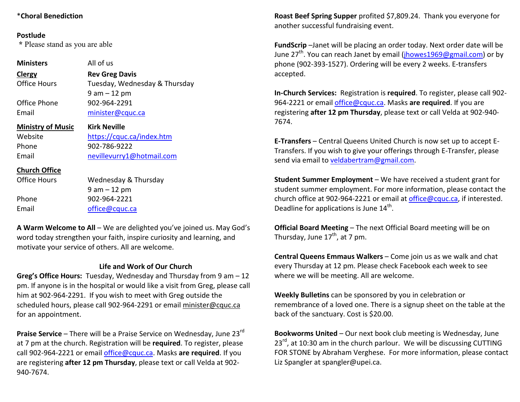### **Postlude**

 **\*** Please stand as you are able

Phone 902-964-2221 Email office@cquc.ca

| <b>Ministers</b>         | All of us                     |  |  |
|--------------------------|-------------------------------|--|--|
| Clergy                   | <b>Rev Greg Davis</b>         |  |  |
| <b>Office Hours</b>      | Tuesday, Wednesday & Thursday |  |  |
|                          | $9$ am $-12$ pm               |  |  |
| Office Phone             | 902-964-2291                  |  |  |
| Email                    | minister@cquc.ca              |  |  |
| <b>Ministry of Music</b> | <b>Kirk Neville</b>           |  |  |
|                          |                               |  |  |
| Website                  | https://cquc.ca/index.htm     |  |  |
| Phone                    | 902-786-9222                  |  |  |
| Email                    | nevillevurry1@hotmail.com     |  |  |
| <b>Church Office</b>     |                               |  |  |
| <b>Office Hours</b>      | Wednesday & Thursday          |  |  |

**A Warm Welcome to All** – We are delighted you've joined us. May God's word today strengthen your faith, inspire curiosity and learning, and motivate your service of others. All are welcome.

### **Life and Work of Our Church**

 **Greg's Office Hours:** Tuesday, Wednesday and Thursday from 9 am – 12 pm. If anyone is in the hospital or would like a visit from Greg, please call him at 902-964-2291. If you wish to meet with Greg outside the scheduled hours, please call 902-964-2291 or email minister@cquc.ca for an appointment.

**Praise Service** – There will be a Praise Service on Wednesday, June 23<sup>rd</sup> at 7 pm at the church. Registration will be **required**. To register, please call 902-964-2221 or email office@cquc.ca. Masks **are required**. If you are registering **after 12 pm Thursday**, please text or call Velda at 902- 940-7674.

**Roast Beef Spring Supper** profited \$7,809.24. Thank you everyone for another successful fundraising event.

**FundScrip** –Janet will be placing an order today. Next order date will be June  $27^{th}$ . You can reach Janet by email (jhowes 1969@gmail.com) or by phone (902-393-1527). Ordering will be every 2 weeks. E-transfers accepted.

**In-Church Services:** Registration is **required**. To register, please call 902-964-2221 or email office@cquc.ca. Masks **are required**. If you are registering **after 12 pm Thursday**, please text or call Velda at 902-940- 7674.

**E-Transfers** – Central Queens United Church is now set up to accept E-Transfers. If you wish to give your offerings through E-Transfer, please send via email to veldabertram@gmail.com.

**Student Summer Employment** – We have received a student grant for student summer employment. For more information, please contact the church office at 902-964-2221 or email at office@cquc.ca, if interested. Deadline for applications is June  $14<sup>th</sup>$ .

**Official Board Meeting** – The next Official Board meeting will be on Thursday, June  $17<sup>th</sup>$ , at 7 pm.

**Central Queens Emmaus Walkers** – Come join us as we walk and chat every Thursday at 12 pm. Please check Facebook each week to see where we will be meeting. All are welcome.

**Weekly Bulletins** can be sponsored by you in celebration or remembrance of a loved one. There is a signup sheet on the table at the back of the sanctuary. Cost is \$20.00.

**Bookworms United** – Our next book club meeting is Wednesday, June  $23^{rd}$ , at 10:30 am in the church parlour. We will be discussing CUTTING FOR STONE by Abraham Verghese. For more information, please contact Liz Spangler at spangler@upei.ca.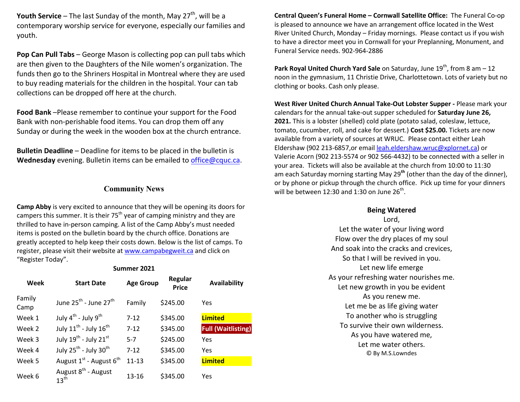**Youth Service** – The last Sunday of the month, May  $27<sup>th</sup>$ , will be a contemporary worship service for everyone, especially our families and youth.

**Pop Can Pull Tabs** – George Mason is collecting pop can pull tabs which are then given to the Daughters of the Nile women's organization. The funds then go to the Shriners Hospital in Montreal where they are used to buy reading materials for the children in the hospital. Your can tab collections can be dropped off here at the church.

**Food Bank** –Please remember to continue your support for the Food Bank with non-perishable food items. You can drop them off any Sunday or during the week in the wooden box at the church entrance.

**Bulletin Deadline** – Deadline for items to be placed in the bulletin is **Wednesday** evening. Bulletin items can be emailed to office@cquc.ca.

## **Community News**

**Camp Abby** is very excited to announce that they will be opening its doors for campers this summer. It is their  $75<sup>th</sup>$  year of camping ministry and they are thrilled to have in-person camping. A list of the Camp Abby's must needed items is posted on the bulletin board by the church office. Donations are greatly accepted to help keep their costs down. Below is the list of camps. To register, please visit their website at www.campabegweit.ca and click on "Register Today".

**Summer 2021** 

| Week           | <b>Start Date</b>                                   | <b>Age Group</b> | Regular<br><b>Price</b> | <b>Availability</b>       |
|----------------|-----------------------------------------------------|------------------|-------------------------|---------------------------|
| Family<br>Camp | June $25^{\text{th}}$ - June $27^{\text{th}}$       | Family           | \$245.00                | Yes                       |
| Week 1         | July $4^{th}$ - July $9^{th}$                       | $7 - 12$         | \$345.00                | <b>Limited</b>            |
| Week 2         | July $11^{\text{th}}$ - July $16^{\text{th}}$       | $7 - 12$         | \$345.00                | <b>Full (Waitlisting)</b> |
| Week 3         | July 19 <sup>th</sup> - July 21st                   | $5-7$            | \$245.00                | Yes                       |
| Week 4         | July 25 <sup>th</sup> - July 30 <sup>th</sup>       | $7 - 12$         | \$345.00                | Yes                       |
| Week 5         | August $1^{st}$ - August $6^{th}$                   | $11 - 13$        | \$345.00                | <b>Limited</b>            |
| Week 6         | August 8 <sup>th</sup> - August<br>$13^{\text{th}}$ | 13-16            | \$345.00                | Yes                       |

**Central Queen's Funeral Home – Cornwall Satellite Office:** The Funeral Co-op is pleased to announce we have an arrangement office located in the West River United Church, Monday – Friday mornings. Please contact us if you wish to have a director meet you in Cornwall for your Preplanning, Monument, and Funeral Service needs. 902-964-2886

**Park Royal United Church Yard Sale** on Saturday, June 19<sup>th</sup>, from 8 am – 12 noon in the gymnasium, 11 Christie Drive, Charlottetown. Lots of variety but no clothing or books. Cash only please.

**West River United Church Annual Take-Out Lobster Supper -** Please mark your calendars for the annual take-out supper scheduled for **Saturday June 26, 2021.** This is a lobster (shelled) cold plate (potato salad, coleslaw, lettuce, tomato, cucumber, roll, and cake for dessert.) **Cost \$25.00.** Tickets are now available from a variety of sources at WRUC. Please contact either Leah Eldershaw (902 213-6857,or email leah.eldershaw.wruc@xplornet.ca) or Valerie Acorn (902 213-5574 or 902 566-4432) to be connected with a seller in your area. Tickets will also be available at the church from 10:00 to 11:30 am each Saturday morning starting May 29**th** (other than the day of the dinner), or by phone or pickup through the church office. Pick up time for your dinners will be between 12:30 and 1:30 on June  $26<sup>th</sup>$ .

# **Being Watered**

Lord, Let the water of your living word Flow over the dry places of my soul And soak into the cracks and crevices, So that I will be revived in you. Let new life emerge As your refreshing water nourishes me. Let new growth in you be evident As you renew me. Let me be as life giving water To another who is struggling To survive their own wilderness. As you have watered me, Let me water others. © By M.S.Lowndes